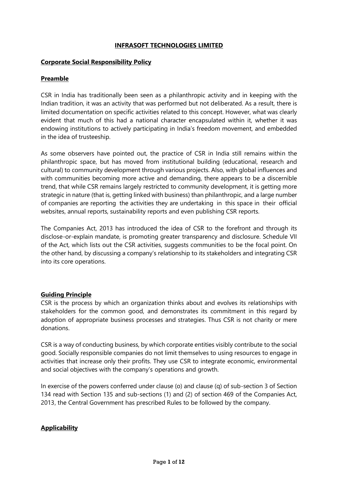## **INFRASOFT TECHNOLOGIES LIMITED**

### **Corporate Social Responsibility Policy**

# **Preamble**

CSR in India has traditionally been seen as a philanthropic activity and in keeping with the Indian tradition, it was an activity that was performed but not deliberated. As a result, there is limited documentation on specific activities related to this concept. However, what was clearly evident that much of this had a national character encapsulated within it, whether it was endowing institutions to actively participating in India's freedom movement, and embedded in the idea of trusteeship.

As some observers have pointed out, the practice of CSR in India still remains within the philanthropic space, but has moved from institutional building (educational, research and cultural) to community development through various projects. Also, with global influences and with communities becoming more active and demanding, there appears to be a discernible trend, that while CSR remains largely restricted to community development, it is getting more strategic in nature (that is, getting linked with business) than philanthropic, and a large number of companies are reporting the activities they are undertaking in this space in their official websites, annual reports, sustainability reports and even publishing CSR reports.

The Companies Act, 2013 has introduced the idea of CSR to the forefront and through its disclose-or-explain mandate, is promoting greater transparency and disclosure. Schedule VII of the Act, which lists out the CSR activities, suggests communities to be the focal point. On the other hand, by discussing a company's relationship to its stakeholders and integrating CSR into its core operations.

### **Guiding Principle**

CSR is the process by which an organization thinks about and evolves its relationships with stakeholders for the common good, and demonstrates its commitment in this regard by adoption of appropriate business processes and strategies. Thus CSR is not charity or mere donations.

CSR is a way of conducting business, by which corporate entities visibly contribute to the social good. Socially responsible companies do not limit themselves to using resources to engage in activities that increase only their profits. They use CSR to integrate economic, environmental and social objectives with the company's operations and growth.

In exercise of the powers conferred under clause (o) and clause (q) of sub-section 3 of Section 134 read with Section 135 and sub-sections (1) and (2) of section 469 of the Companies Act, 2013, the Central Government has prescribed Rules to be followed by the company.

# **Applicability**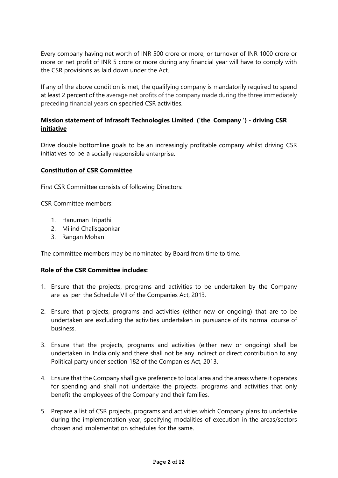Every company having net worth of INR 500 crore or more, or turnover of INR 1000 crore or more or net profit of INR 5 crore or more during any financial year will have to comply with the CSR provisions as laid down under the Act.

If any of the above condition is met, the qualifying company is mandatorily required to spend at least 2 percent of the average net profits of the company made during the three immediately preceding financial years on specified CSR activities.

# **Mission statement of Infrasoft Technologies Limited ('the Company ') - driving CSR initiative**

Drive double bottomline goals to be an increasingly profitable company whilst driving CSR initiatives to be a socially responsible enterprise.

## **Constitution of CSR Committee**

First CSR Committee consists of following Directors:

CSR Committee members:

- 1. Hanuman Tripathi
- 2. Milind Chalisgaonkar
- 3. Rangan Mohan

The committee members may be nominated by Board from time to time.

### **Role of the CSR Committee includes:**

- 1. Ensure that the projects, programs and activities to be undertaken by the Company are as per the Schedule VII of the Companies Act, 2013.
- 2. Ensure that projects, programs and activities (either new or ongoing) that are to be undertaken are excluding the activities undertaken in pursuance of its normal course of business.
- 3. Ensure that the projects, programs and activities (either new or ongoing) shall be undertaken in India only and there shall not be any indirect or direct contribution to any Political party under section 182 of the Companies Act, 2013.
- 4. Ensure that the Company shall give preference to local area and the areas where it operates for spending and shall not undertake the projects, programs and activities that only benefit the employees of the Company and their families.
- 5. Prepare a list of CSR projects, programs and activities which Company plans to undertake during the implementation year, specifying modalities of execution in the areas/sectors chosen and implementation schedules for the same.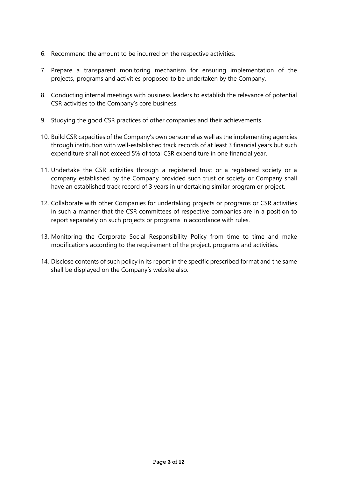- 6. Recommend the amount to be incurred on the respective activities.
- 7. Prepare a transparent monitoring mechanism for ensuring implementation of the projects, programs and activities proposed to be undertaken by the Company.
- 8. Conducting internal meetings with business leaders to establish the relevance of potential CSR activities to the Company's core business.
- 9. Studying the good CSR practices of other companies and their achievements.
- 10. Build CSR capacities of the Company's own personnel as well as the implementing agencies through institution with well-established track records of at least 3 financial years but such expenditure shall not exceed 5% of total CSR expenditure in one financial year.
- 11. Undertake the CSR activities through a registered trust or a registered society or a company established by the Company provided such trust or society or Company shall have an established track record of 3 years in undertaking similar program or project.
- 12. Collaborate with other Companies for undertaking projects or programs or CSR activities in such a manner that the CSR committees of respective companies are in a position to report separately on such projects or programs in accordance with rules.
- 13. Monitoring the Corporate Social Responsibility Policy from time to time and make modifications according to the requirement of the project, programs and activities.
- 14. Disclose contents of such policy in its report in the specific prescribed format and the same shall be displayed on the Company's website also.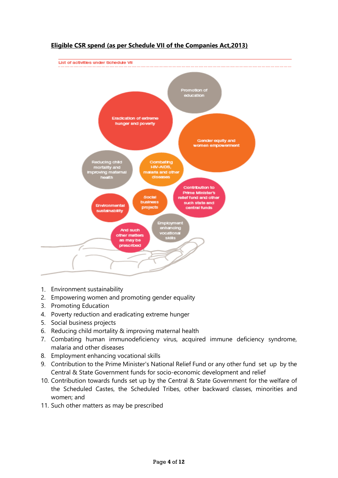

# **Eligible CSR spend (as per Schedule VII of the Companies Act,2013)**

- 1. Environment sustainability
- 2. Empowering women and promoting gender equality
- 3. Promoting Education
- 4. Poverty reduction and eradicating extreme hunger
- 5. Social business projects
- 6. Reducing child mortality & improving maternal health
- 7. Combating human immunodeficiency virus, acquired immune deficiency syndrome, malaria and other diseases
- 8. Employment enhancing vocational skills
- 9. Contribution to the Prime Minister's National Relief Fund or any other fund set up by the Central & State Government funds for socio-economic development and relief
- 10. Contribution towards funds set up by the Central & State Government for the welfare of the Scheduled Castes, the Scheduled Tribes, other backward classes, minorities and women; and
- 11. Such other matters as may be prescribed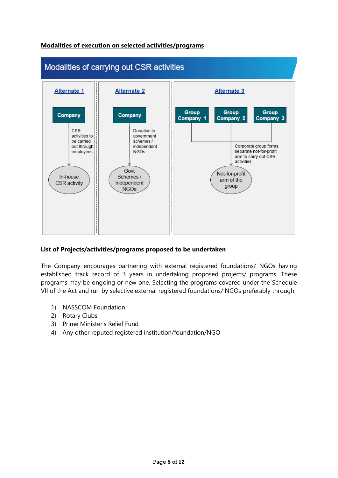



# **List of Projects/activities/programs proposed to be undertaken**

The Company encourages partnering with external registered foundations/ NGOs having established track record of 3 years in undertaking proposed projects/ programs. These programs may be ongoing or new one. Selecting the programs covered under the Schedule VII of the Act and run by selective external registered foundations/ NGOs preferably through:

- 1) NASSCOM Foundation
- 2) Rotary Clubs
- 3) Prime Minister's Relief Fund
- 4) Any other reputed registered institution/foundation/NGO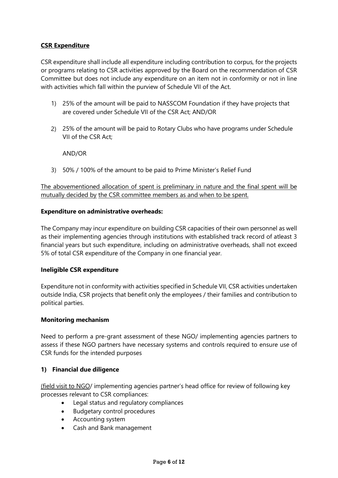# **CSR Expenditure**

CSR expenditure shall include all expenditure including contribution to corpus, for the projects or programs relating to CSR activities approved by the Board on the recommendation of CSR Committee but does not include any expenditure on an item not in conformity or not in line with activities which fall within the purview of Schedule VII of the Act.

- 1) 25% of the amount will be paid to NASSCOM Foundation if they have projects that are covered under Schedule VII of the CSR Act; AND/OR
- 2) 25% of the amount will be paid to Rotary Clubs who have programs under Schedule VII of the CSR Act;

AND/OR

3) 50% / 100% of the amount to be paid to Prime Minister's Relief Fund

The abovementioned allocation of spent is preliminary in nature and the final spent will be mutually decided by the CSR committee members as and when to be spent.

### **Expenditure on administrative overheads:**

The Company may incur expenditure on building CSR capacities of their own personnel as well as their implementing agencies through institutions with established track record of atleast 3 financial years but such expenditure, including on administrative overheads, shall not exceed 5% of total CSR expenditure of the Company in one financial year.

### **Ineligible CSR expenditure**

Expenditure not in conformity with activities specified in Schedule VII, CSR activities undertaken outside India, CSR projects that benefit only the employees / their families and contribution to political parties.

### **Monitoring mechanism**

Need to perform a pre-grant assessment of these NGO/ implementing agencies partners to assess if these NGO partners have necessary systems and controls required to ensure use of CSR funds for the intended purposes

### **1) Financial due diligence**

(field visit to NGO/ implementing agencies partner's head office for review of following key processes relevant to CSR compliances:

- Legal status and regulatory compliances
- Budgetary control procedures
- Accounting system
- Cash and Bank management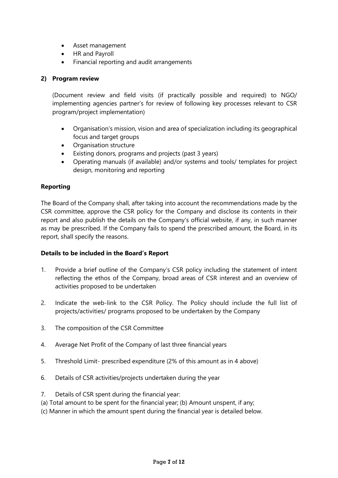- Asset management
- HR and Payroll
- Financial reporting and audit arrangements

# **2) Program review**

(Document review and field visits (if practically possible and required) to NGO/ implementing agencies partner's for review of following key processes relevant to CSR program/project implementation)

- Organisation's mission, vision and area of specialization including its geographical focus and target groups
- Organisation structure
- Existing donors, programs and projects (past 3 years)
- Operating manuals (if available) and/or systems and tools/ templates for project design, monitoring and reporting

# **Reporting**

The Board of the Company shall, after taking into account the recommendations made by the CSR committee, approve the CSR policy for the Company and disclose its contents in their report and also publish the details on the Company's official website, if any, in such manner as may be prescribed. If the Company fails to spend the prescribed amount, the Board, in its report, shall specify the reasons.

# **Details to be included in the Board's Report**

- 1. Provide a brief outline of the Company's CSR policy including the statement of intent reflecting the ethos of the Company, broad areas of CSR interest and an overview of activities proposed to be undertaken
- 2. Indicate the web-link to the CSR Policy. The Policy should include the full list of projects/activities/ programs proposed to be undertaken by the Company
- 3. The composition of the CSR Committee
- 4. Average Net Profit of the Company of last three financial years
- 5. Threshold Limit- prescribed expenditure (2% of this amount as in 4 above)
- 6. Details of CSR activities/projects undertaken during the year
- 7. Details of CSR spent during the financial year:
- (a) Total amount to be spent for the financial year; (b) Amount unspent, if any;
- (c) Manner in which the amount spent during the financial year is detailed below.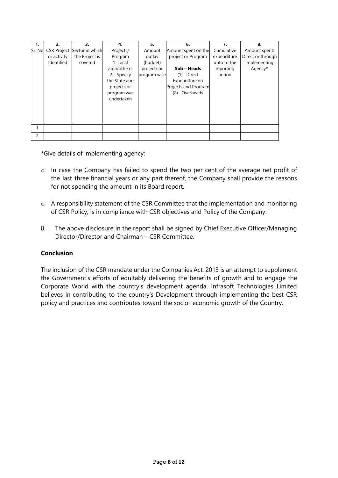| 1.     | 2.                 | 3.              | 4.            | 5.           | 6.                   | 7.          | 8.                |
|--------|--------------------|-----------------|---------------|--------------|----------------------|-------------|-------------------|
| Sr. No | <b>CSR Project</b> | Sector in which | Projects/     | Amount       | Amount spent on the  | Cumulative  | Amount spent:     |
|        | or activity        | the Project is  | Program       | outlay       | project or Program   | expenditure | Direct or through |
|        | Identified         | covered         | 1. Local      | (budget)     |                      | upto to the | implementing      |
|        |                    |                 | area/othe rs  | project/ or  | Sub - Heads          | reporting   | Agency*           |
|        |                    |                 | 2. Specify    | program wise | Direct<br>(1)        | period      |                   |
|        |                    |                 | the State and |              | Expenditure on       |             |                   |
|        |                    |                 | projects or   |              | Projects and Program |             |                   |
|        |                    |                 | program was   |              | Overheads<br>(2)     |             |                   |
|        |                    |                 | undertaken    |              |                      |             |                   |
|        |                    |                 |               |              |                      |             |                   |
|        |                    |                 |               |              |                      |             |                   |
|        |                    |                 |               |              |                      |             |                   |
|        |                    |                 |               |              |                      |             |                   |
|        |                    |                 |               |              |                      |             |                   |
| 2      |                    |                 |               |              |                      |             |                   |

**\***Give details of implementing agency:

- o In case the Company has failed to spend the two per cent of the average net profit of the last three financial years or any part thereof, the Company shall provide the reasons for not spending the amount in its Board report.
- o A responsibility statement of the CSR Committee that the implementation and monitoring of CSR Policy, is in compliance with CSR objectives and Policy of the Company.
- 8. The above disclosure in the report shall be signed by Chief Executive Officer/Managing Director/Director and Chairman – CSR Committee.

# **Conclusion**

The inclusion of the CSR mandate under the Companies Act, 2013 is an attempt to supplement the Government's efforts of equitably delivering the benefits of growth and to engage the Corporate World with the country's development agenda. Infrasoft Technologies Limited believes in contributing to the country's Development through implementing the best CSR policy and practices and contributes toward the socio- economic growth of the Country.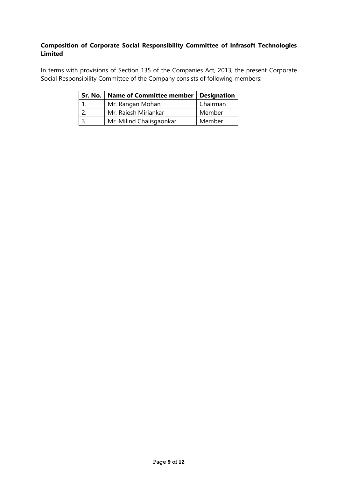# **Composition of Corporate Social Responsibility Committee of Infrasoft Technologies Limited**

In terms with provisions of Section 135 of the Companies Act, 2013, the present Corporate Social Responsibility Committee of the Company consists of following members:

| Sr. No. | <b>Name of Committee member</b> | <b>Designation</b> |  |
|---------|---------------------------------|--------------------|--|
|         | Mr. Rangan Mohan                | Chairman           |  |
|         | Mr. Rajesh Mirjankar            | Member             |  |
|         | Mr. Milind Chalisgaonkar        | Member             |  |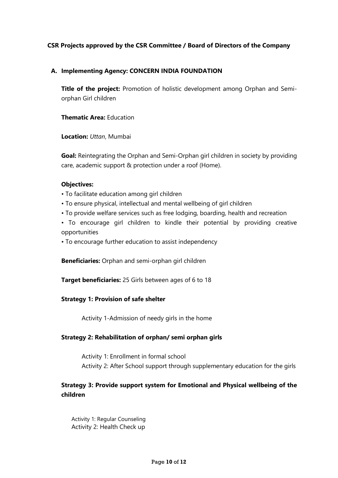# **CSR Projects approved by the CSR Committee / Board of Directors of the Company**

## **A. Implementing Agency: CONCERN INDIA FOUNDATION**

**Title of the project:** Promotion of holistic development among Orphan and Semiorphan Girl children

**Thematic Area:** Education

**Location:** *Uttan*, Mumbai

**Goal:** Reintegrating the Orphan and Semi-Orphan girl children in society by providing care, academic support & protection under a roof (Home).

### **Objectives:**

- To facilitate education among girl children
- To ensure physical, intellectual and mental wellbeing of girl children
- To provide welfare services such as free lodging, boarding, health and recreation
- To encourage girl children to kindle their potential by providing creative opportunities
- To encourage further education to assist independency

**Beneficiaries:** Orphan and semi-orphan girl children

**Target beneficiaries:** 25 Girls between ages of 6 to 18

### **Strategy 1: Provision of safe shelter**

Activity 1-Admission of needy girls in the home

### **Strategy 2: Rehabilitation of orphan/ semi orphan girls**

Activity 1: Enrollment in formal school Activity 2: After School support through supplementary education for the girls

# **Strategy 3: Provide support system for Emotional and Physical wellbeing of the children**

Activity 1: Regular Counseling Activity 2: Health Check up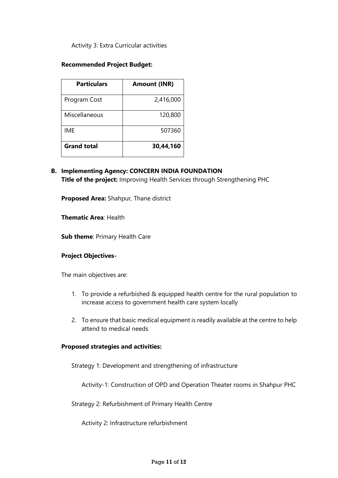Activity 3: Extra Curricular activities

### **Recommended Project Budget:**

| <b>Particulars</b> | <b>Amount (INR)</b> |
|--------------------|---------------------|
| Program Cost       | 2,416,000           |
| Miscellaneous      | 120,800             |
| <b>IME</b>         | 507360              |
| <b>Grand total</b> | 30,44,160           |

**B. Implementing Agency: CONCERN INDIA FOUNDATION Title of the project:** Improving Health Services through Strengthening PHC

**Proposed Area:** Shahpur, Thane district

**Thematic Area**: Health

**Sub theme**: Primary Health Care

### **Project Objectives-**

The main objectives are:

- 1. To provide a refurbished & equipped health centre for the rural population to increase access to government health care system locally
- 2. To ensure that basic medical equipment is readily available at the centre to help attend to medical needs

## **Proposed strategies and activities:**

Strategy 1: Development and strengthening of infrastructure

Activity-1: Construction of OPD and Operation Theater rooms in Shahpur PHC

Strategy 2: Refurbishment of Primary Health Centre

Activity 2: Infrastructure refurbishment